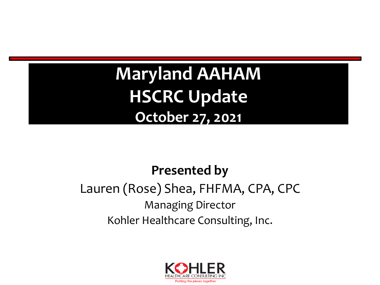**Maryland AAHAM HSCRC Update October 27, 2021**

#### **Presented by**

### Lauren (Rose) Shea, FHFMA, CPA, CPC Managing Director Kohler Healthcare Consulting, Inc.

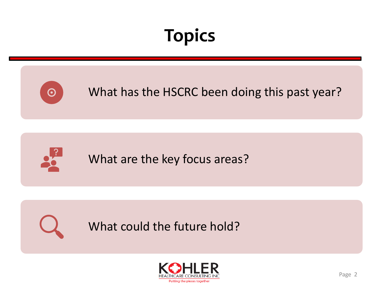# **Topics**



Putting the pieces together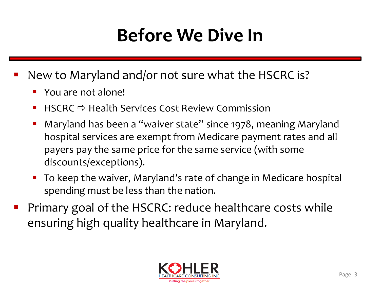## **Before We Dive In**

- New to Maryland and/or not sure what the HSCRC is?
	- You are not alone!
	- **HSCRC**  $\Rightarrow$  Health Services Cost Review Commission
	- Maryland has been a "waiver state" since 1978, meaning Maryland hospital services are exempt from Medicare payment rates and all payers pay the same price for the same service (with some discounts/exceptions).
	- To keep the waiver, Maryland's rate of change in Medicare hospital spending must be less than the nation.
- Primary goal of the HSCRC: reduce healthcare costs while ensuring high quality healthcare in Maryland.

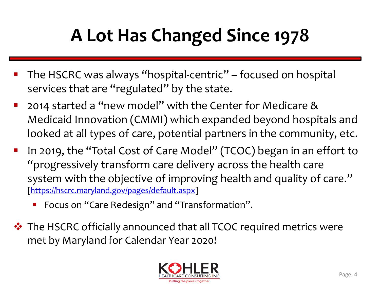# **A Lot Has Changed Since 1978**

- The HSCRC was always "hospital-centric" focused on hospital services that are "regulated" by the state.
- 2014 started a "new model" with the Center for Medicare & Medicaid Innovation (CMMI) which expanded beyond hospitals and looked at all types of care, potential partners in the community, etc.
- In 2019, the "Total Cost of Care Model" (TCOC) began in an effort to "progressively transform care delivery across the health care system with the objective of improving health and quality of care." [[https://hscrc.maryland.gov/pages/default.aspx\]](https://hscrc.maryland.gov/pages/default.aspx)
	- Focus on "Care Redesign" and "Transformation".
- ❖ The HSCRC officially announced that all TCOC required metrics were met by Maryland for Calendar Year 2020!

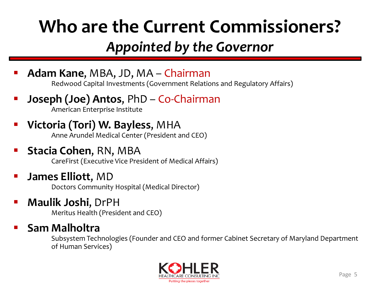## **Who are the Current Commissioners?**

### *Appointed by the Governor*

**Adam Kane, MBA, JD, MA – Chairman** 

Redwood Capital Investments (Government Relations and Regulatory Affairs)

- **Joseph (Joe) Antos, PhD Co-Chairman** American Enterprise Institute
- **Victoria (Tori) W. Bayless, MHA**

Anne Arundel Medical Center (President and CEO)

#### **Stacia Cohen, RN, MBA**

CareFirst (Executive Vice President of Medical Affairs)

#### **James Elliott, MD**

Doctors Community Hospital (Medical Director)

#### ▪ **Maulik Joshi**, DrPH

Meritus Health (President and CEO)

#### **Sam Malholtra**

Subsystem Technologies (Founder and CEO and former Cabinet Secretary of Maryland Department of Human Services)

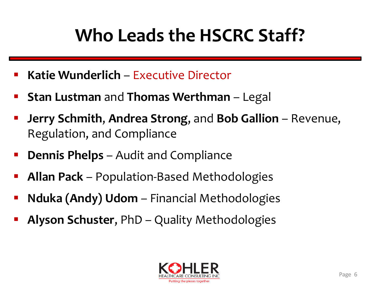## **Who Leads the HSCRC Staff?**

- **Katie Wunderlich Executive Director**
- **Stan Lustman** and **Thomas Werthman** Legal
- **Jerry Schmith, Andrea Strong, and Bob Gallion** Revenue, Regulation, and Compliance
- **Dennis Phelps** Audit and Compliance
- **Allan Pack** Population-Based Methodologies
- **Nduka (Andy) Udom** Financial Methodologies
- **Alyson Schuster, PhD Quality Methodologies**

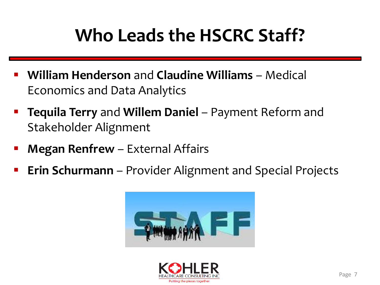## **Who Leads the HSCRC Staff?**

- **William Henderson** and **Claudine Williams** Medical Economics and Data Analytics
- **Tequila Terry** and **Willem Daniel** Payment Reform and Stakeholder Alignment
- **Megan Renfrew** External Affairs
- **Erin Schurmann** Provider Alignment and Special Projects



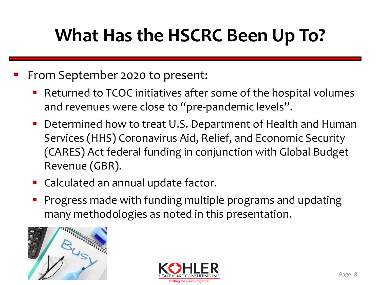## **What Has the HSCRC Been Up To?**

#### From September 2020 to present:

- Returned to TCOC initiatives after some of the hospital volumes and revenues were close to "pre-pandemic levels".
- Determined how to treat U.S. Department of Health and Human Services (HHS) Coronavirus Aid, Relief, and Economic Security (CARES) Act federal funding in conjunction with Global Budget Revenue (GBR).
- Calculated an annual update factor.
- Progress made with funding multiple programs and updating many methodologies as noted in this presentation.



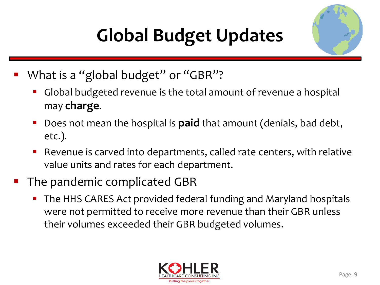# **Global Budget Updates**



- What is a "global budget" or "GBR"?
	- Global budgeted revenue is the total amount of revenue a hospital may **charge**.
	- Does not mean the hospital is **paid** that amount (denials, bad debt, etc.).
	- Revenue is carved into departments, called rate centers, with relative value units and rates for each department.
- The pandemic complicated GBR
	- The HHS CARES Act provided federal funding and Maryland hospitals were not permitted to receive more revenue than their GBR unless their volumes exceeded their GBR budgeted volumes.

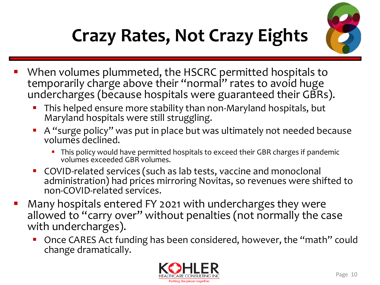

# **Crazy Rates, Not Crazy Eights**

- When volumes plummeted, the HSCRC permitted hospitals to temporarily charge above their "normal" rates to avoid huge undercharges (because hospitals were guaranteed their GBRs).
	- **This helped ensure more stability than non-Maryland hospitals, but** Maryland hospitals were still struggling.
	- A "surge policy" was put in place but was ultimately not needed because volumes declined.
		- This policy would have permitted hospitals to exceed their GBR charges if pandemic volumes exceeded GBR volumes.
	- COVID-related services (such as lab tests, vaccine and monoclonal administration) had prices mirroring Novitas, so revenues were shifted to non-COVID-related services.
- Many hospitals entered FY 2021 with undercharges they were allowed to "carry over" without penalties (not normally the case with undercharges).
	- Once CARES Act funding has been considered, however, the "math" could change dramatically.

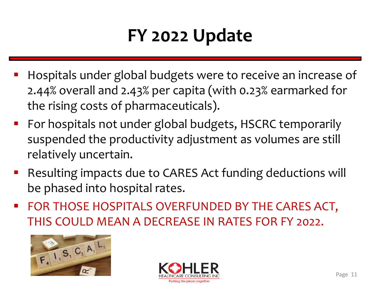## **FY 2022 Update**

- Hospitals under global budgets were to receive an increase of 2.44% overall and 2.43% per capita (with 0.23% earmarked for the rising costs of pharmaceuticals).
- For hospitals not under global budgets, HSCRC temporarily suspended the productivity adjustment as volumes are still relatively uncertain.
- Resulting impacts due to CARES Act funding deductions will be phased into hospital rates.
- **EXECTE FOR THOSE HOSPITALS OVERFUNDED BY THE CARES ACT,** THIS COULD MEAN A DECREASE IN RATES FOR FY 2022.



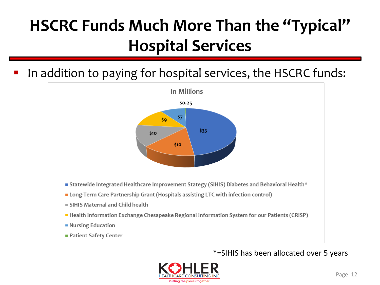### **HSCRC Funds Much More Than the "Typical" Hospital Services**

In addition to paying for hospital services, the HSCRC funds:



\*=SIHIS has been allocated over 5 years

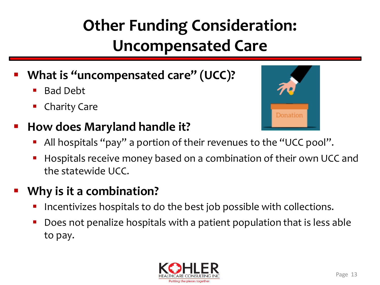### **Other Funding Consideration: Uncompensated Care**

- What is "uncompensated care" (UCC)?
	- **Bad Debt**
	- Charity Care

### ▪ **How does Maryland handle it?**

- Donation
- All hospitals "pay" a portion of their revenues to the "UCC pool".
- Hospitals receive money based on a combination of their own UCC and the statewide UCC.

### **Why is it a combination?**

- Incentivizes hospitals to do the best job possible with collections.
- Does not penalize hospitals with a patient population that is less able to pay.

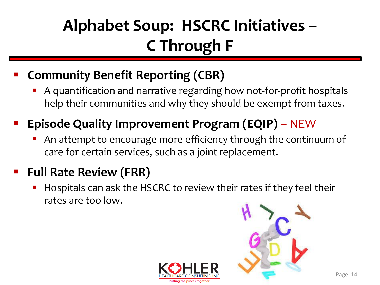### **Alphabet Soup: HSCRC Initiatives – C Through F**

### **Community Benefit Reporting (CBR)**

A quantification and narrative regarding how not-for-profit hospitals help their communities and why they should be exempt from taxes.

### **Episode Quality Improvement Program (EQIP)** – NEW

An attempt to encourage more efficiency through the continuum of care for certain services, such as a joint replacement.

### **Full Rate Review (FRR)**

Hospitals can ask the HSCRC to review their rates if they feel their rates are too low.

Putting the pieces togeth

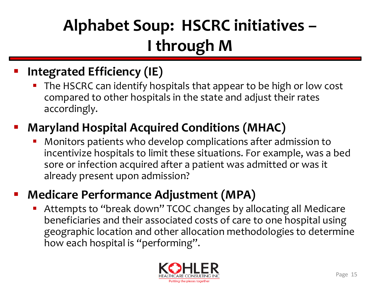### **Alphabet Soup: HSCRC initiatives – I through M**

### **Integrated Efficiency (IE)**

The HSCRC can identify hospitals that appear to be high or low cost compared to other hospitals in the state and adjust their rates accordingly.

### **Maryland Hospital Acquired Conditions (MHAC)**

Monitors patients who develop complications after admission to incentivize hospitals to limit these situations. For example, was a bed sore or infection acquired after a patient was admitted or was it already present upon admission?

### **Medicare Performance Adjustment (MPA)**

Attempts to "break down" TCOC changes by allocating all Medicare beneficiaries and their associated costs of care to one hospital using geographic location and other allocation methodologies to determine how each hospital is "performing".

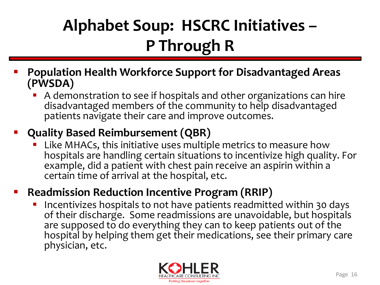### **Alphabet Soup: HSCRC Initiatives – P Through R**

- **Population Health Workforce Support for Disadvantaged Areas (PWSDA)**
	- A demonstration to see if hospitals and other organizations can hire disadvantaged members of the community to help disadvantaged patients navigate their care and improve outcomes.

#### ▪ **Quality Based Reimbursement (QBR)**

Like MHACs, this initiative uses multiple metrics to measure how hospitals are handling certain situations to incentivize high quality. For example, did a patient with chest pain receive an aspirin within a certain time of arrival at the hospital, etc.

#### **Readmission Reduction Incentive Program (RRIP)**

Incentivizes hospitals to not have patients readmitted within 30 days of their discharge. Some readmissions are unavoidable, but hospitals are supposed to do everything they can to keep patients out of the hospital by helping them get their medications, see their primary care physician, etc.

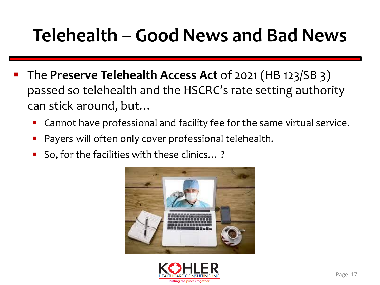### **Telehealth – Good News and Bad News**

- The **Preserve Telehealth Access Act** of 2021 (HB 123/SB 3) passed so telehealth and the HSCRC's rate setting authority can stick around, but…
	- Cannot have professional and facility fee for the same virtual service.
	- Payers will often only cover professional telehealth.
	- So, for the facilities with these clinics...?



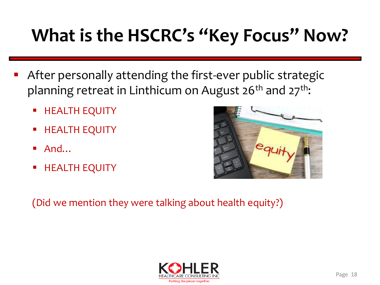# **What is the HSCRC's "Key Focus" Now?**

- After personally attending the first-ever public strategic planning retreat in Linthicum on August  $26<sup>th</sup>$  and  $27<sup>th</sup>$ :
	- **E** HEALTH EQUITY
	- **E** HEALTH EQUITY
	- $\blacksquare$  And…
	- **E** HEALTH EQUITY



(Did we mention they were talking about health equity?)

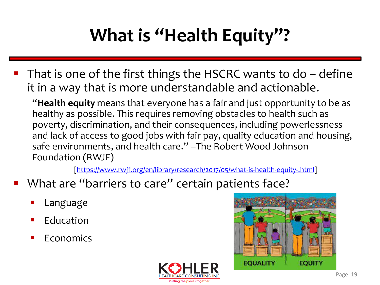# **What is "Health Equity"?**

That is one of the first things the HSCRC wants to do  $-$  define it in a way that is more understandable and actionable.

"**Health equity** means that everyone has a fair and just opportunity to be as healthy as possible. This requires removing obstacles to health such as poverty, discrimination, and their consequences, including powerlessness and lack of access to good jobs with fair pay, quality education and housing, safe environments, and health care." –The Robert Wood Johnson Foundation (RWJF)

[\[https://www.rwjf.org/en/library/research/2017/05/what-is-health-equity-.html\]](https://www.rwjf.org/en/library/research/2017/05/what-is-health-equity-.html)

- What are "barriers to care" certain patients face?
	- Language
	- **Education**
	- **Economics**



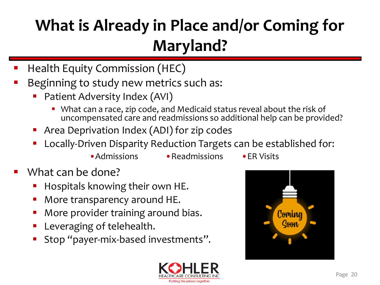### **What is Already in Place and/or Coming for Maryland?**

- **Health Equity Commission (HEC)**
- Beginning to study new metrics such as:
	- Patient Adversity Index (AVI)
		- What can a race, zip code, and Medicaid status reveal about the risk of uncompensated care and readmissions so additional help can be provided?
	- Area Deprivation Index (ADI) for zip codes
	- Locally-Driven Disparity Reduction Targets can be established for:
		- •Admissions Readmissions FR Visits
- 

- What can be done?
	- Hospitals knowing their own HE.
	- More transparency around HE.
	- More provider training around bias.
	- Leveraging of telehealth.
	- Stop "payer-mix-based investments".



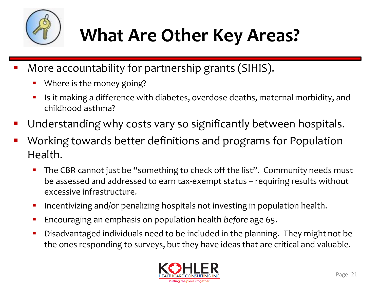

## **What Are Other Key Areas?**

- More accountability for partnership grants (SIHIS).
	- Where is the money going?
	- Is it making a difference with diabetes, overdose deaths, maternal morbidity, and childhood asthma?
- Understanding why costs vary so significantly between hospitals.
- Working towards better definitions and programs for Population Health.
	- The CBR cannot just be "something to check off the list". Community needs must be assessed and addressed to earn tax-exempt status – requiring results without excessive infrastructure.
	- **•** Incentivizing and/or penalizing hospitals not investing in population health.
	- Encouraging an emphasis on population health *before* age 65.
	- Disadvantaged individuals need to be included in the planning. They might not be the ones responding to surveys, but they have ideas that are critical and valuable.

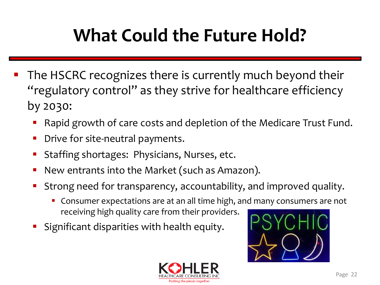## **What Could the Future Hold?**

- The HSCRC recognizes there is currently much beyond their "regulatory control" as they strive for healthcare efficiency by 2030:
	- Rapid growth of care costs and depletion of the Medicare Trust Fund.
	- Drive for site-neutral payments.
	- Staffing shortages: Physicians, Nurses, etc.
	- New entrants into the Market (such as Amazon).
	- Strong need for transparency, accountability, and improved quality.
		- Consumer expectations are at an all time high, and many consumers are not receiving high quality care from their providers.
	- Significant disparities with health equity.



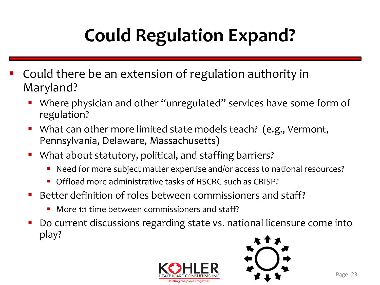# **Could Regulation Expand?**

- Could there be an extension of regulation authority in Maryland?
	- Where physician and other "unregulated" services have some form of regulation?
	- What can other more limited state models teach? (e.g., Vermont, Pennsylvania, Delaware, Massachusetts)
	- What about statutory, political, and staffing barriers?
		- Need for more subject matter expertise and/or access to national resources?
		- Offload more administrative tasks of HSCRC such as CRISP?
	- Better definition of roles between commissioners and staff?
		- More 1:1 time between commissioners and staff?
	- Do current discussions regarding state vs. national licensure come into play?



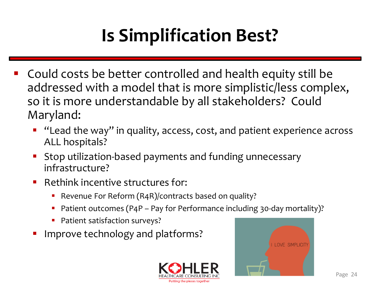# **Is Simplification Best?**

- Could costs be better controlled and health equity still be addressed with a model that is more simplistic/less complex, so it is more understandable by all stakeholders? Could Maryland:
	- "Lead the way" in quality, access, cost, and patient experience across ALL hospitals?
	- Stop utilization-based payments and funding unnecessary infrastructure?
	- Rethink incentive structures for:
		- Revenue For Reform (R4R)/contracts based on quality?
		- Patient outcomes (P4P Pay for Performance including 30-day mortality)?
		- **•** Patient satisfaction surveys?
	- Improve technology and platforms?



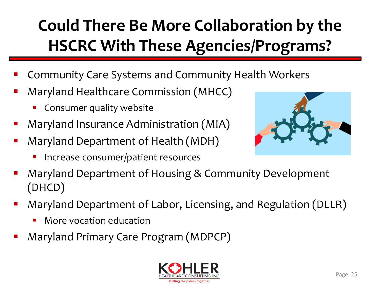### **Could There Be More Collaboration by the HSCRC With These Agencies/Programs?**

- Community Care Systems and Community Health Workers
- Maryland Healthcare Commission (MHCC)
	- Consumer quality website
- Maryland Insurance Administration (MIA)
- Maryland Department of Health (MDH)
	- Increase consumer/patient resources



- Maryland Department of Housing & Community Development (DHCD)
- Maryland Department of Labor, Licensing, and Regulation (DLLR)
	- More vocation education
- Maryland Primary Care Program (MDPCP)

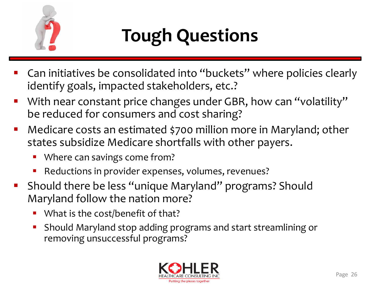

# **Tough Questions**

- Can initiatives be consolidated into "buckets" where policies clearly identify goals, impacted stakeholders, etc.?
- With near constant price changes under GBR, how can "volatility" be reduced for consumers and cost sharing?
- Medicare costs an estimated \$700 million more in Maryland; other states subsidize Medicare shortfalls with other payers.
	- Where can savings come from?
	- Reductions in provider expenses, volumes, revenues?
- Should there be less "unique Maryland" programs? Should Maryland follow the nation more?
	- What is the cost/benefit of that?
	- Should Maryland stop adding programs and start streamlining or removing unsuccessful programs?

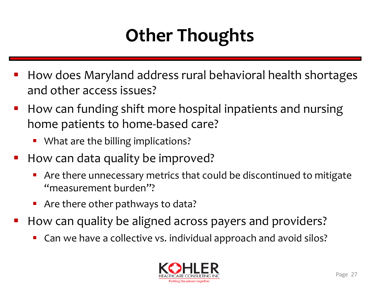## **Other Thoughts**

- How does Maryland address rural behavioral health shortages and other access issues?
- How can funding shift more hospital inpatients and nursing home patients to home-based care?
	- What are the billing implications?
- How can data quality be improved?
	- Are there unnecessary metrics that could be discontinued to mitigate "measurement burden"?
	- Are there other pathways to data?
- How can quality be aligned across payers and providers?
	- Can we have a collective vs. individual approach and avoid silos?

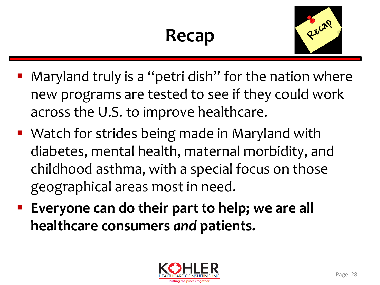## **Recap**



- Maryland truly is a "petri dish" for the nation where new programs are tested to see if they could work across the U.S. to improve healthcare.
- Watch for strides being made in Maryland with diabetes, mental health, maternal morbidity, and childhood asthma, with a special focus on those geographical areas most in need.
- Everyone can do their part to help; we are all **healthcare consumers** *and* **patients.**

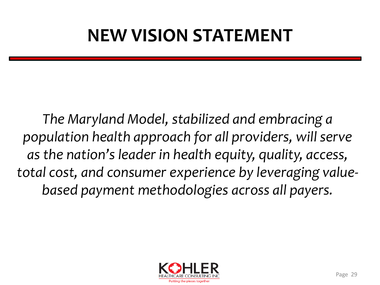## **NEW VISION STATEMENT**

*The Maryland Model, stabilized and embracing a population health approach for all providers, will serve as the nation's leader in health equity, quality, access, total cost, and consumer experience by leveraging valuebased payment methodologies across all payers.*

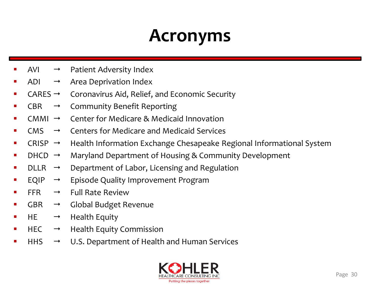### **Acronyms**

- AVI  $\rightarrow$  Patient Adversity Index
- ADI  $\rightarrow$  Area Deprivation Index
- $CARES \rightarrow$  Coronavirus Aid, Relief, and Economic Security
- $CBR \rightarrow$  Community Benefit Reporting
- $CMMI \rightarrow Center$  for Medicare & Medicaid Innovation
- $CMS \rightarrow$  Centers for Medicare and Medicaid Services
- CRISP  $\rightarrow$  Health Information Exchange Chesapeake Regional Informational System
- $DHCD \rightarrow$  Maryland Department of Housing & Community Development
- $DLLR \rightarrow$  Department of Labor, Licensing and Regulation
- $EQIP \rightarrow$  Episode Quality Improvement Program
- $FFR \rightarrow$  Full Rate Review
- $GBR \rightarrow$  Global Budget Revenue
- $HE \rightarrow Health$  Equity
- $HEC \rightarrow Health$  Equity Commission
- $HHS \rightarrow U.S.$  Department of Health and Human Services

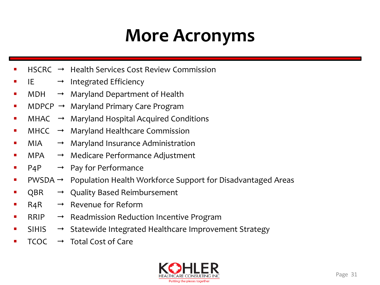### **More Acronyms**

- $HSCRC \rightarrow$  Health Services Cost Review Commission
- $IE \rightarrow$  Integrated Efficiency
- $MDH \rightarrow$  Maryland Department of Health
- $MDPCP \rightarrow$  Maryland Primary Care Program
- $MHAC \rightarrow$  Maryland Hospital Acquired Conditions
- $MHCC \rightarrow$  Maryland Healthcare Commission
- $MIA \rightarrow$  Maryland Insurance Administration
- $MPA \rightarrow Medicare Performance Adjustment$
- $P4P \rightarrow Pay$  for Performance
- $PWSDA \rightarrow Population Health Workforce Support for Disadvantageed Areas$
- $QBR \rightarrow Quality$  Based Reimbursement
- $R4R \rightarrow$  Revenue for Reform
- $RRIP \rightarrow$  Readmission Reduction Incentive Program
- $SHIS \rightarrow$  Statewide Integrated Healthcare Improvement Strategy
- $TCOC \rightarrow Total Cost of Care$

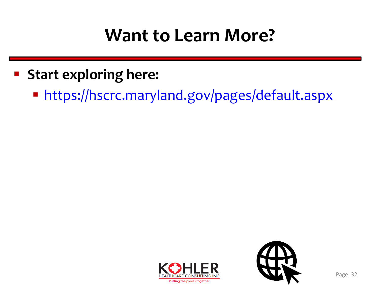### **Want to Learn More?**

- **Start exploring here:**
	- <https://hscrc.maryland.gov/pages/default.aspx>